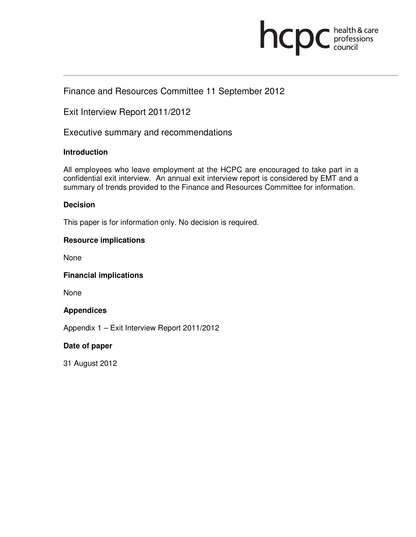

# Finance and Resources Committee 11 September 2012

Exit Interview Report 2011/2012

Executive summary and recommendations

# **Introduction**

All employees who leave employment at the HCPC are encouraged to take part in a confidential exit interview. An annual exit interview report is considered by EMT and a summary of trends provided to the Finance and Resources Committee for information.

# **Decision**

This paper is for information only. No decision is required.

# **Resource implications**

None

### **Financial implications**

None

### **Appendices**

Appendix 1 – Exit Interview Report 2011/2012

# **Date of paper**

31 August 2012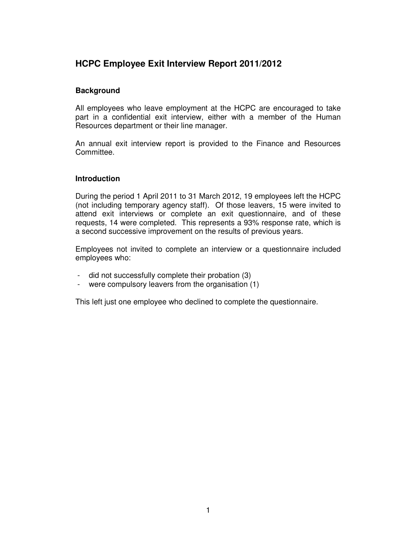# **HCPC Employee Exit Interview Report 2011/2012**

### **Background**

All employees who leave employment at the HCPC are encouraged to take part in a confidential exit interview, either with a member of the Human Resources department or their line manager.

An annual exit interview report is provided to the Finance and Resources Committee.

### **Introduction**

During the period 1 April 2011 to 31 March 2012, 19 employees left the HCPC (not including temporary agency staff). Of those leavers, 15 were invited to attend exit interviews or complete an exit questionnaire, and of these requests, 14 were completed. This represents a 93% response rate, which is a second successive improvement on the results of previous years.

Employees not invited to complete an interview or a questionnaire included employees who:

- did not successfully complete their probation (3)
- were compulsory leavers from the organisation (1)

This left just one employee who declined to complete the questionnaire.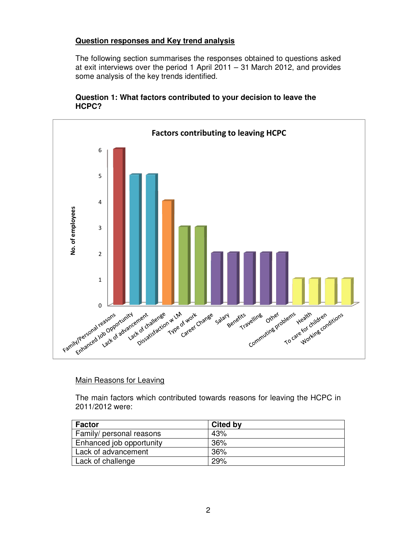# **Question responses and Key trend analysis**

The following section summarises the responses obtained to questions asked at exit interviews over the period 1 April 2011 – 31 March 2012, and provides some analysis of the key trends identified.





### Main Reasons for Leaving

The main factors which contributed towards reasons for leaving the HCPC in 2011/2012 were:

| <b>Factor</b>            | <b>Cited by</b> |
|--------------------------|-----------------|
| Family/ personal reasons | 43%             |
| Enhanced job opportunity | 36%             |
| Lack of advancement      | 36%             |
| Lack of challenge        | 29%             |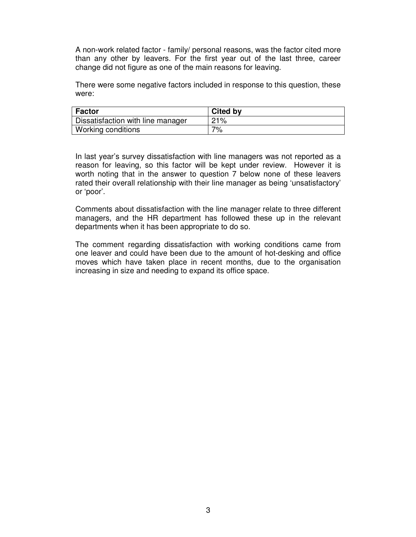A non-work related factor - family/ personal reasons, was the factor cited more than any other by leavers. For the first year out of the last three, career change did not figure as one of the main reasons for leaving.

There were some negative factors included in response to this question, these were:

| <b>Factor</b>                     | <b>Cited by</b> |
|-----------------------------------|-----------------|
| Dissatisfaction with line manager | 21%             |
| Working conditions                | 7%              |

In last year's survey dissatisfaction with line managers was not reported as a reason for leaving, so this factor will be kept under review. However it is worth noting that in the answer to question 7 below none of these leavers rated their overall relationship with their line manager as being 'unsatisfactory' or 'poor'.

Comments about dissatisfaction with the line manager relate to three different managers, and the HR department has followed these up in the relevant departments when it has been appropriate to do so.

The comment regarding dissatisfaction with working conditions came from one leaver and could have been due to the amount of hot-desking and office moves which have taken place in recent months, due to the organisation increasing in size and needing to expand its office space.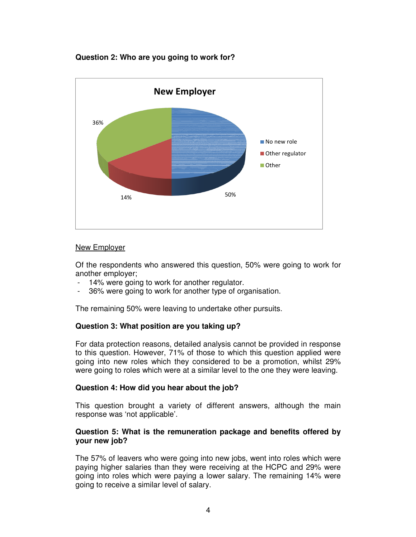### **Question 2: Who are you going to work for?**



### New Employer

Of the respondents who answered this question, 50% were going to work for another employer;

- 14% were going to work for another regulator.
- 36% were going to work for another type of organisation.

The remaining 50% were leaving to undertake other pursuits.

### **Question 3: What position are you taking up?**

For data protection reasons, detailed analysis cannot be provided in response to this question. However, 71% of those to which this question applied were going into new roles which they considered to be a promotion, whilst 29% were going to roles which were at a similar level to the one they were leaving.

### **Question 4: How did you hear about the job?**

This question brought a variety of different answers, although the main response was 'not applicable'.

#### **Question 5: What is the remuneration package and benefits offered by your new job?**

The 57% of leavers who were going into new jobs, went into roles which were paying higher salaries than they were receiving at the HCPC and 29% were going into roles which were paying a lower salary. The remaining 14% were going to receive a similar level of salary.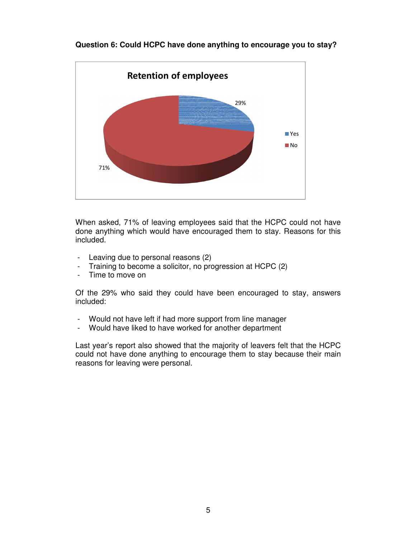

# **Question 6: Could HCPC have done anything to encourage you to stay?**

When asked, 71% of leaving employees said that the HCPC could not have done anything which would have encouraged them to stay. Reasons for this included.

- Leaving due to personal reasons (2)
- Training to become a solicitor, no progression at HCPC (2)
- Time to move on

Of the 29% who said they could have been encouraged to stay, answers included:

- Would not have left if had more support from line manager
- Would have liked to have worked for another department

Last year's report also showed that the majority of leavers felt that the HCPC could not have done anything to encourage them to stay because their main reasons for leaving were personal.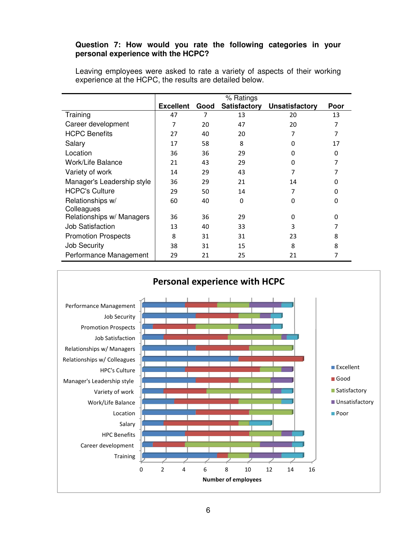## **Question 7: How would you rate the following categories in your personal experience with the HCPC?**

|                            | % Ratings        |      |                     |                       |          |
|----------------------------|------------------|------|---------------------|-----------------------|----------|
|                            | <b>Excellent</b> | Good | <b>Satisfactory</b> | <b>Unsatisfactory</b> | Poor     |
| Training                   | 47               | 7    | 13                  | 20                    | 13       |
| Career development         | 7                | 20   | 47                  | 20                    | 7        |
| <b>HCPC Benefits</b>       | 27               | 40   | 20                  | 7                     | 7        |
| Salary                     | 17               | 58   | 8                   | O                     | 17       |
| Location                   | 36               | 36   | 29                  | ŋ                     | 0        |
| Work/Life Balance          | 21               | 43   | 29                  | O                     | 7        |
| Variety of work            | 14               | 29   | 43                  |                       | 7        |
| Manager's Leadership style | 36               | 29   | 21                  | 14                    | $\Omega$ |
| <b>HCPC's Culture</b>      | 29               | 50   | 14                  | 7                     | $\Omega$ |
| Relationships w/           | 60               | 40   | 0                   | $\Omega$              | $\Omega$ |
| Colleagues                 |                  |      |                     |                       |          |
| Relationships w/ Managers  | 36               | 36   | 29                  | 0                     | 0        |
| Job Satisfaction           | 13               | 40   | 33                  | 3                     | 7        |
| <b>Promotion Prospects</b> | 8                | 31   | 31                  | 23                    | 8        |
| <b>Job Security</b>        | 38               | 31   | 15                  | 8                     | 8        |
| Performance Management     | 29               | 21   | 25                  | 21                    | 7        |

Leaving employees were asked to rate a variety of aspects of their working experience at the HCPC, the results are detailed below.

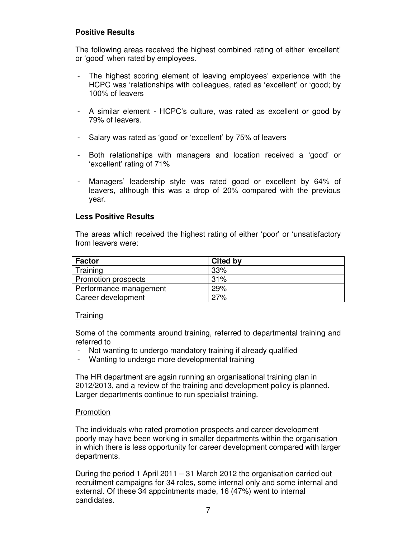# **Positive Results**

The following areas received the highest combined rating of either 'excellent' or 'good' when rated by employees.

- The highest scoring element of leaving employees' experience with the HCPC was 'relationships with colleagues, rated as 'excellent' or 'good; by 100% of leavers
- A similar element HCPC's culture, was rated as excellent or good by 79% of leavers.
- Salary was rated as 'good' or 'excellent' by 75% of leavers
- Both relationships with managers and location received a 'good' or 'excellent' rating of 71%
- Managers' leadership style was rated good or excellent by 64% of leavers, although this was a drop of 20% compared with the previous year.

### **Less Positive Results**

The areas which received the highest rating of either 'poor' or 'unsatisfactory from leavers were:

| <b>Factor</b>          | <b>Cited by</b> |
|------------------------|-----------------|
| Training               | 33%             |
| Promotion prospects    | 31%             |
| Performance management | 29%             |
| Career development     | 27%             |

### **Training**

Some of the comments around training, referred to departmental training and referred to

- Not wanting to undergo mandatory training if already qualified
- Wanting to undergo more developmental training

The HR department are again running an organisational training plan in 2012/2013, and a review of the training and development policy is planned. Larger departments continue to run specialist training.

### Promotion

The individuals who rated promotion prospects and career development poorly may have been working in smaller departments within the organisation in which there is less opportunity for career development compared with larger departments.

During the period 1 April 2011 – 31 March 2012 the organisation carried out recruitment campaigns for 34 roles, some internal only and some internal and external. Of these 34 appointments made, 16 (47%) went to internal candidates.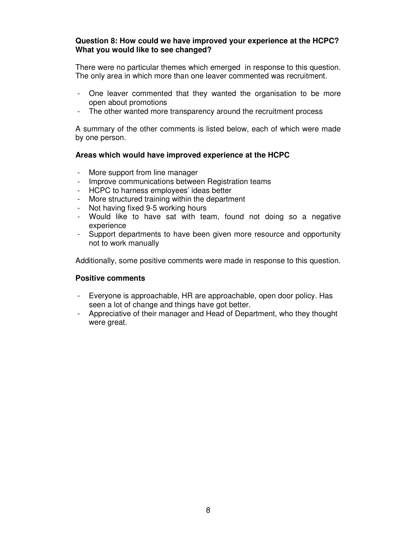### **Question 8: How could we have improved your experience at the HCPC? What you would like to see changed?**

There were no particular themes which emerged in response to this question. The only area in which more than one leaver commented was recruitment.

- One leaver commented that they wanted the organisation to be more open about promotions
- The other wanted more transparency around the recruitment process

A summary of the other comments is listed below, each of which were made by one person.

### **Areas which would have improved experience at the HCPC**

- More support from line manager
- Improve communications between Registration teams
- HCPC to harness employees' ideas better
- More structured training within the department
- Not having fixed 9-5 working hours
- Would like to have sat with team, found not doing so a negative experience
- Support departments to have been given more resource and opportunity not to work manually

Additionally, some positive comments were made in response to this question.

### **Positive comments**

- Everyone is approachable, HR are approachable, open door policy. Has seen a lot of change and things have got better.
- Appreciative of their manager and Head of Department, who they thought were great.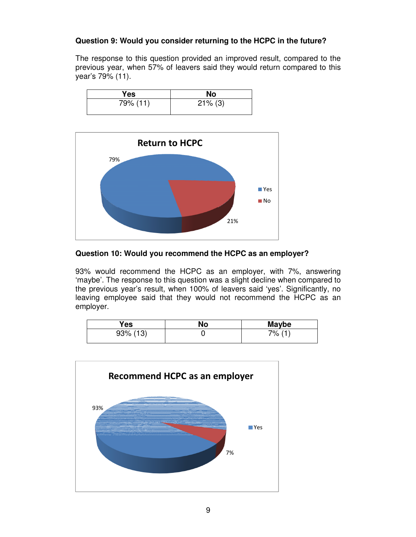# **Question 9: Would you consider returning to the HCPC in the future?**

The response to this question provided an improved result, compared to the previous year, when 57% of leavers said they would return compared to this year's 79% (11).

| Yes      | No         |
|----------|------------|
| 79% (11) | $21\%$ (3) |



### **Question 10: Would you recommend the HCPC as an employer?**

93% would recommend the HCPC as an employer, with 7%, answering 'maybe'. The response to this question was a slight decline when compared to the previous year's result, when 100% of leavers said 'yes'. Significantly, no leaving employee said that they would not recommend the HCPC as an employer.

| Yes         | No | Maybe |
|-------------|----|-------|
| $93\%$ (13) |    | 7% (1 |